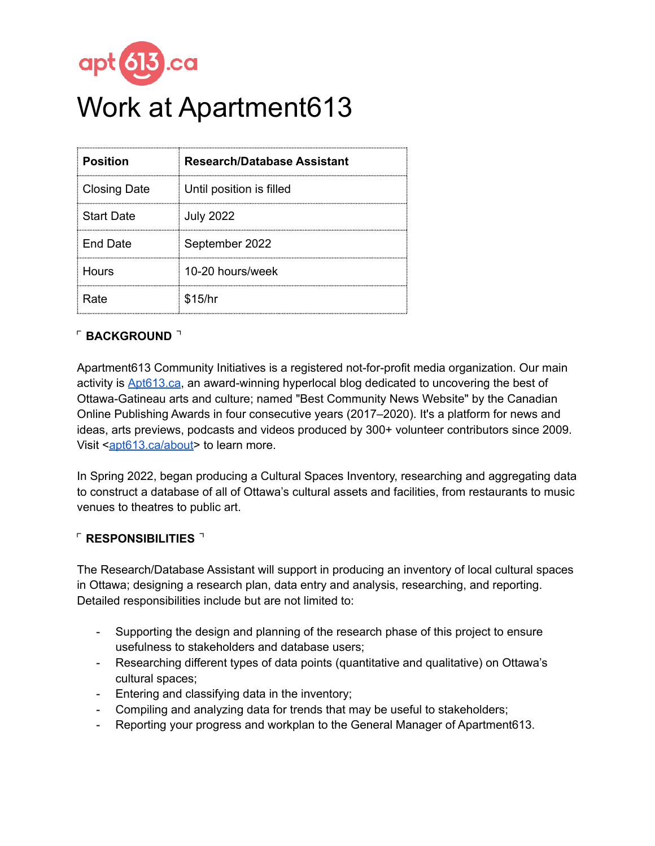

# apt 613.ca<br>Work at Apartment613

| <b>Position</b>     | <b>Research/Database Assistant</b> |
|---------------------|------------------------------------|
| <b>Closing Date</b> | Until position is filled           |
| <b>Start Date</b>   | <b>July 2022</b>                   |
| End Date            | September 2022                     |
| Hours               | 10-20 hours/week                   |
| Rate                | \$15/hr                            |

# $\sqrt{ }$  BACKGROUND  $\sqrt{ }$

Apartment613 Community Initiatives is a registered not-for-profit media organization. Our main activity is [Apt613.ca](http://apt613.ca), an award-winning hyperlocal blog dedicated to uncovering the best of Ottawa-Gatineau arts and culture; named "Best Community News Website" by the Canadian Online Publishing Awards in four consecutive years (2017–2020). It's a platform for news and ideas, arts previews, podcasts and videos produced by 300+ volunteer contributors since 2009. Visit [<apt613.ca/about>](http://apt613.ca/about) to learn more.

In Spring 2022, began producing a Cultural Spaces Inventory, researching and aggregating data to construct a database of all of Ottawa's cultural assets and facilities, from restaurants to music venues to theatres to public art.

#### ⌜ **RESPONSIBILITIES** ⌝

The Research/Database Assistant will support in producing an inventory of local cultural spaces in Ottawa; designing a research plan, data entry and analysis, researching, and reporting. Detailed responsibilities include but are not limited to:

- Supporting the design and planning of the research phase of this project to ensure usefulness to stakeholders and database users;
- Researching different types of data points (quantitative and qualitative) on Ottawa's cultural spaces;
- Entering and classifying data in the inventory;
- Compiling and analyzing data for trends that may be useful to stakeholders;
- Reporting your progress and workplan to the General Manager of Apartment613.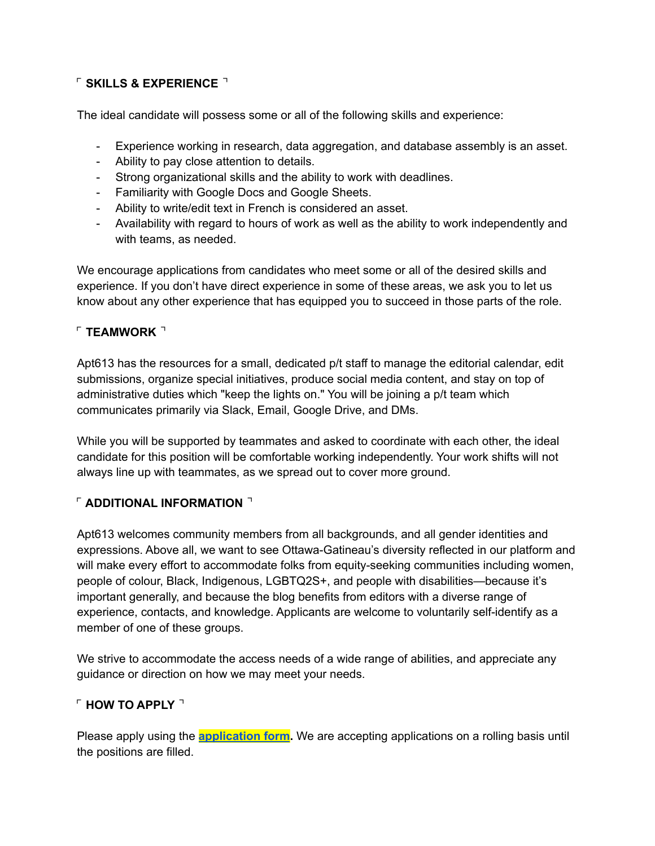# ⌜ **SKILLS & EXPERIENCE** ⌝

The ideal candidate will possess some or all of the following skills and experience:

- Experience working in research, data aggregation, and database assembly is an asset.
- Ability to pay close attention to details.
- Strong organizational skills and the ability to work with deadlines.
- Familiarity with Google Docs and Google Sheets.
- Ability to write/edit text in French is considered an asset.
- Availability with regard to hours of work as well as the ability to work independently and with teams, as needed.

We encourage applications from candidates who meet some or all of the desired skills and experience. If you don't have direct experience in some of these areas, we ask you to let us know about any other experience that has equipped you to succeed in those parts of the role.

#### ⌜ **TEAMWORK** ⌝

Apt613 has the resources for a small, dedicated p/t staff to manage the editorial calendar, edit submissions, organize special initiatives, produce social media content, and stay on top of administrative duties which "keep the lights on." You will be joining a p/t team which communicates primarily via Slack, Email, Google Drive, and DMs.

While you will be supported by teammates and asked to coordinate with each other, the ideal candidate for this position will be comfortable working independently. Your work shifts will not always line up with teammates, as we spread out to cover more ground.

## ⌜ **ADDITIONAL INFORMATION** ⌝

Apt613 welcomes community members from all backgrounds, and all gender identities and expressions. Above all, we want to see Ottawa-Gatineau's diversity reflected in our platform and will make every effort to accommodate folks from equity-seeking communities including women, people of colour, Black, Indigenous, LGBTQ2S+, and people with disabilities—because it's important generally, and because the blog benefits from editors with a diverse range of experience, contacts, and knowledge. Applicants are welcome to voluntarily self-identify as a member of one of these groups.

We strive to accommodate the access needs of a wide range of abilities, and appreciate any guidance or direction on how we may meet your needs.

## ⌜ **HOW TO APPLY** ⌝

Please apply using the **[application](https://forms.gle/jN3nTZYGU4weH4SGA) form.** We are accepting applications on a rolling basis until the positions are filled.